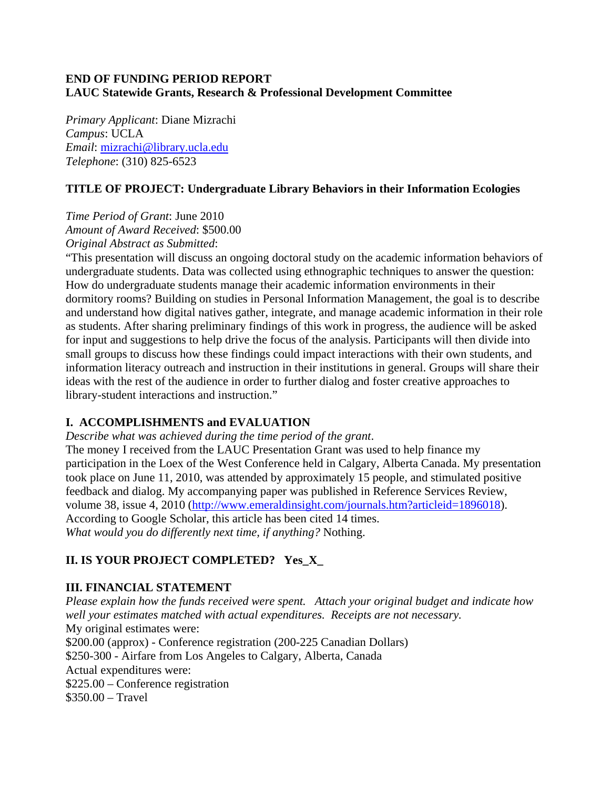#### **END OF FUNDING PERIOD REPORT LAUC Statewide Grants, Research & Professional Development Committee**

*Primary Applicant*: Diane Mizrachi *Campus*: UCLA *Email*: [mizrachi@library.ucla.edu](mailto:mizrachi@library.ucla.edu) *Telephone*: (310) 825-6523

# **TITLE OF PROJECT: Undergraduate Library Behaviors in their Information Ecologies**

*Time Period of Grant*: June 2010 *Amount of Award Received*: \$500.00 *Original Abstract as Submitted*:

"This presentation will discuss an ongoing doctoral study on the academic information behaviors of undergraduate students. Data was collected using ethnographic techniques to answer the question: How do undergraduate students manage their academic information environments in their dormitory rooms? Building on studies in Personal Information Management, the goal is to describe and understand how digital natives gather, integrate, and manage academic information in their role as students. After sharing preliminary findings of this work in progress, the audience will be asked for input and suggestions to help drive the focus of the analysis. Participants will then divide into small groups to discuss how these findings could impact interactions with their own students, and information literacy outreach and instruction in their institutions in general. Groups will share their ideas with the rest of the audience in order to further dialog and foster creative approaches to library-student interactions and instruction."

# **I. ACCOMPLISHMENTS and EVALUATION**

*Describe what was achieved during the time period of the grant*.

The money I received from the LAUC Presentation Grant was used to help finance my participation in the Loex of the West Conference held in Calgary, Alberta Canada. My presentation took place on June 11, 2010, was attended by approximately 15 people, and stimulated positive feedback and dialog. My accompanying paper was published in Reference Services Review, volume 38, issue 4, 2010 [\(http://www.emeraldinsight.com/journals.htm?articleid=1896018\)](http://www.emeraldinsight.com/journals.htm?articleid=1896018). According to Google Scholar, this article has been cited 14 times. *What would you do differently next time, if anything?* Nothing.

# **II. IS YOUR PROJECT COMPLETED? Yes\_X\_**

#### **III. FINANCIAL STATEMENT**

*Please explain how the funds received were spent. Attach your original budget and indicate how well your estimates matched with actual expenditures. Receipts are not necessary.* My original estimates were: \$200.00 (approx) - Conference registration (200-225 Canadian Dollars) \$250-300 - Airfare from Los Angeles to Calgary, Alberta, Canada Actual expenditures were: \$225.00 – Conference registration \$350.00 – Travel